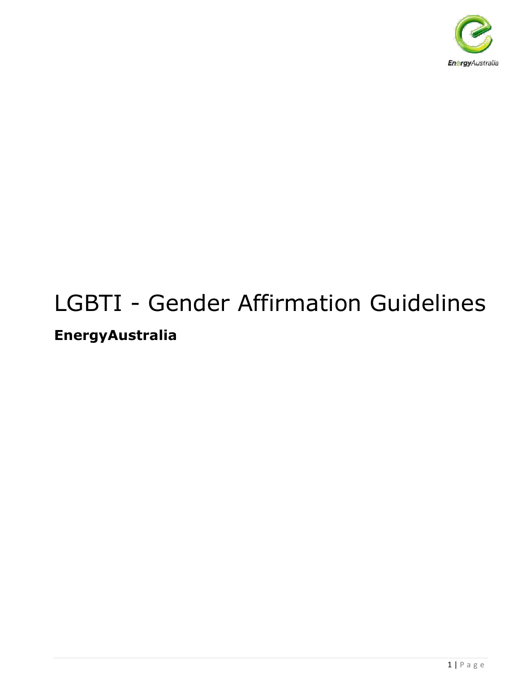

# LGBTI - Gender Affirmation Guidelines **EnergyAustralia**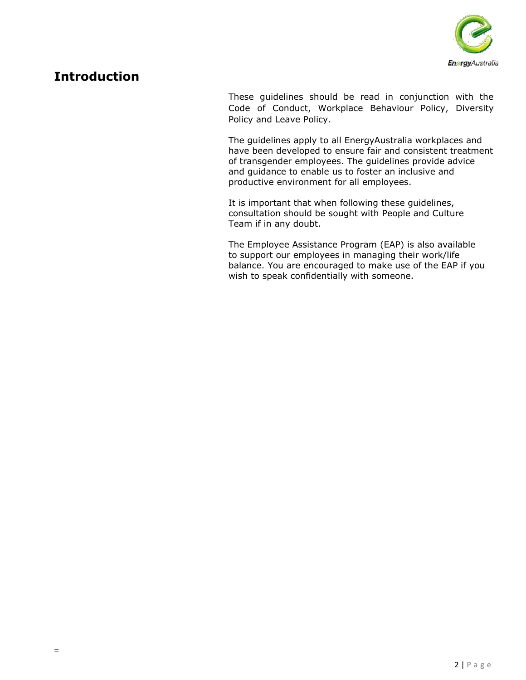

## **Introduction**

These guidelines should be read in conjunction with the Code of Conduct, Workplace Behaviour Policy, Diversity Policy and Leave Policy.

The guidelines apply to all EnergyAustralia workplaces and have been developed to ensure fair and consistent treatment of transgender employees. The guidelines provide advice and guidance to enable us to foster an inclusive and productive environment for all employees.

It is important that when following these guidelines, consultation should be sought with People and Culture Team if in any doubt.

The Employee Assistance Program (EAP) is also available to support our employees in managing their work/life balance. You are encouraged to make use of the EAP if you wish to speak confidentially with someone.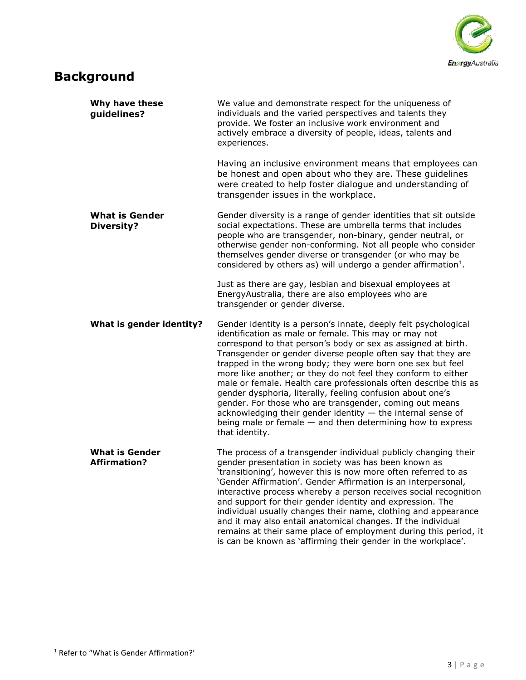

# **Background**

| Why have these<br>guidelines?                | We value and demonstrate respect for the uniqueness of<br>individuals and the varied perspectives and talents they<br>provide. We foster an inclusive work environment and<br>actively embrace a diversity of people, ideas, talents and<br>experiences.                                                                                                                                                                                                                                                                                                                                                                                                                                                                               |
|----------------------------------------------|----------------------------------------------------------------------------------------------------------------------------------------------------------------------------------------------------------------------------------------------------------------------------------------------------------------------------------------------------------------------------------------------------------------------------------------------------------------------------------------------------------------------------------------------------------------------------------------------------------------------------------------------------------------------------------------------------------------------------------------|
|                                              | Having an inclusive environment means that employees can<br>be honest and open about who they are. These guidelines<br>were created to help foster dialogue and understanding of<br>transgender issues in the workplace.                                                                                                                                                                                                                                                                                                                                                                                                                                                                                                               |
| <b>What is Gender</b><br><b>Diversity?</b>   | Gender diversity is a range of gender identities that sit outside<br>social expectations. These are umbrella terms that includes<br>people who are transgender, non-binary, gender neutral, or<br>otherwise gender non-conforming. Not all people who consider<br>themselves gender diverse or transgender (or who may be<br>considered by others as) will undergo a gender affirmation $1$ .                                                                                                                                                                                                                                                                                                                                          |
|                                              | Just as there are gay, lesbian and bisexual employees at<br>EnergyAustralia, there are also employees who are<br>transgender or gender diverse.                                                                                                                                                                                                                                                                                                                                                                                                                                                                                                                                                                                        |
| What is gender identity?                     | Gender identity is a person's innate, deeply felt psychological<br>identification as male or female. This may or may not<br>correspond to that person's body or sex as assigned at birth.<br>Transgender or gender diverse people often say that they are<br>trapped in the wrong body; they were born one sex but feel<br>more like another; or they do not feel they conform to either<br>male or female. Health care professionals often describe this as<br>gender dysphoria, literally, feeling confusion about one's<br>gender. For those who are transgender, coming out means<br>acknowledging their gender identity - the internal sense of<br>being male or female $-$ and then determining how to express<br>that identity. |
| <b>What is Gender</b><br><b>Affirmation?</b> | The process of a transgender individual publicly changing their<br>gender presentation in society was has been known as<br>'transitioning', however this is now more often referred to as<br>'Gender Affirmation'. Gender Affirmation is an interpersonal,<br>interactive process whereby a person receives social recognition<br>and support for their gender identity and expression. The<br>individual usually changes their name, clothing and appearance<br>and it may also entail anatomical changes. If the individual<br>remains at their same place of employment during this period, it<br>is can be known as 'affirming their gender in the workplace'.                                                                     |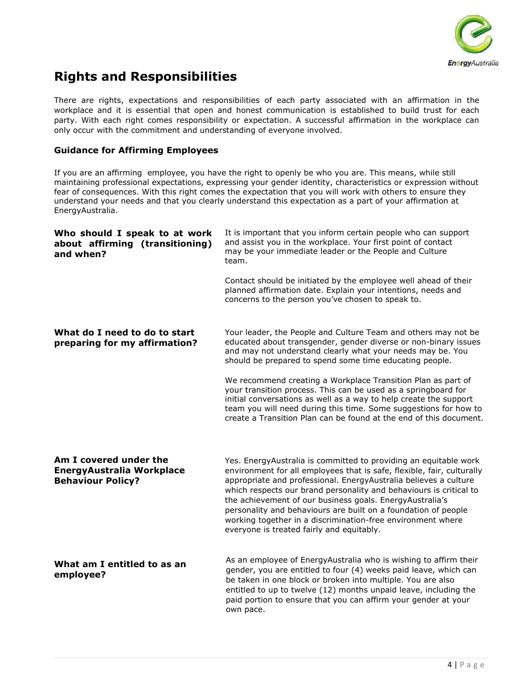

# **Rights and Responsibilities**

There are rights, expectations and responsibilities of each party associated with an affirmation in the workplace and it is essential that open and honest communication is established to build trust for each party. With each right comes responsibility or expectation. A successful affirmation in the workplace can only occur with the commitment and understanding of everyone involved.

#### **Guidance for Affirming Employees**

If you are an affirming employee, you have the right to openly be who you are. This means, while still maintaining professional expectations, expressing your gender identity, characteristics or expression without fear of consequences. With this right comes the expectation that you will work with others to ensure they understand your needs and that you clearly understand this expectation as a part of your affirmation at EnergyAustralia.

| Who should I speak to at work<br>about affirming (transitioning)<br>and when?   | It is important that you inform certain people who can support<br>and assist you in the workplace. Your first point of contact<br>may be your immediate leader or the People and Culture<br>team.                                                                                                                                                                                                                                                                                                                              |
|---------------------------------------------------------------------------------|--------------------------------------------------------------------------------------------------------------------------------------------------------------------------------------------------------------------------------------------------------------------------------------------------------------------------------------------------------------------------------------------------------------------------------------------------------------------------------------------------------------------------------|
|                                                                                 | Contact should be initiated by the employee well ahead of their<br>planned affirmation date. Explain your intentions, needs and<br>concerns to the person you've chosen to speak to.                                                                                                                                                                                                                                                                                                                                           |
| What do I need to do to start<br>preparing for my affirmation?                  | Your leader, the People and Culture Team and others may not be<br>educated about transgender, gender diverse or non-binary issues<br>and may not understand clearly what your needs may be. You<br>should be prepared to spend some time educating people.                                                                                                                                                                                                                                                                     |
|                                                                                 | We recommend creating a Workplace Transition Plan as part of<br>your transition process. This can be used as a springboard for<br>initial conversations as well as a way to help create the support<br>team you will need during this time. Some suggestions for how to<br>create a Transition Plan can be found at the end of this document.                                                                                                                                                                                  |
| Am I covered under the<br>EnergyAustralia Workplace<br><b>Behaviour Policy?</b> | Yes. EnergyAustralia is committed to providing an equitable work<br>environment for all employees that is safe, flexible, fair, culturally<br>appropriate and professional. EnergyAustralia believes a culture<br>which respects our brand personality and behaviours is critical to<br>the achievement of our business goals. EnergyAustralia's<br>personality and behaviours are built on a foundation of people<br>working together in a discrimination-free environment where<br>everyone is treated fairly and equitably. |
| What am I entitled to as an<br>employee?                                        | As an employee of EnergyAustralia who is wishing to affirm their<br>gender, you are entitled to four (4) weeks paid leave, which can<br>be taken in one block or broken into multiple. You are also<br>entitled to up to twelve (12) months unpaid leave, including the<br>paid portion to ensure that you can affirm your gender at your<br>own pace.                                                                                                                                                                         |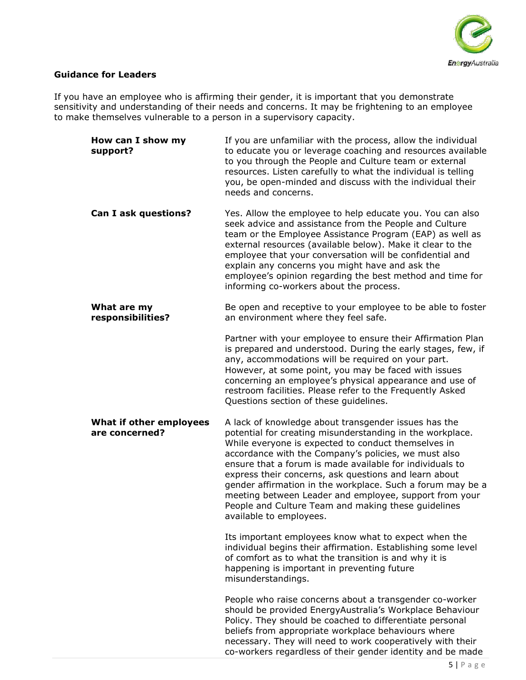

#### **Guidance for Leaders**

If you have an employee who is affirming their gender, it is important that you demonstrate sensitivity and understanding of their needs and concerns. It may be frightening to an employee to make themselves vulnerable to a person in a supervisory capacity.

| How can I show my<br>support?             | If you are unfamiliar with the process, allow the individual<br>to educate you or leverage coaching and resources available<br>to you through the People and Culture team or external<br>resources. Listen carefully to what the individual is telling<br>you, be open-minded and discuss with the individual their<br>needs and concerns.                                                                                                                                                                                                                      |
|-------------------------------------------|-----------------------------------------------------------------------------------------------------------------------------------------------------------------------------------------------------------------------------------------------------------------------------------------------------------------------------------------------------------------------------------------------------------------------------------------------------------------------------------------------------------------------------------------------------------------|
| Can I ask questions?                      | Yes. Allow the employee to help educate you. You can also<br>seek advice and assistance from the People and Culture<br>team or the Employee Assistance Program (EAP) as well as<br>external resources (available below). Make it clear to the<br>employee that your conversation will be confidential and<br>explain any concerns you might have and ask the<br>employee's opinion regarding the best method and time for<br>informing co-workers about the process.                                                                                            |
| What are my<br>responsibilities?          | Be open and receptive to your employee to be able to foster<br>an environment where they feel safe.                                                                                                                                                                                                                                                                                                                                                                                                                                                             |
|                                           | Partner with your employee to ensure their Affirmation Plan<br>is prepared and understood. During the early stages, few, if<br>any, accommodations will be required on your part.<br>However, at some point, you may be faced with issues<br>concerning an employee's physical appearance and use of<br>restroom facilities. Please refer to the Frequently Asked<br>Questions section of these guidelines.                                                                                                                                                     |
| What if other employees<br>are concerned? | A lack of knowledge about transgender issues has the<br>potential for creating misunderstanding in the workplace.<br>While everyone is expected to conduct themselves in<br>accordance with the Company's policies, we must also<br>ensure that a forum is made available for individuals to<br>express their concerns, ask questions and learn about<br>gender affirmation in the workplace. Such a forum may be a<br>meeting between Leader and employee, support from your<br>People and Culture Team and making these guidelines<br>available to employees. |
|                                           | Its important employees know what to expect when the<br>individual begins their affirmation. Establishing some level<br>of comfort as to what the transition is and why it is<br>happening is important in preventing future<br>misunderstandings.                                                                                                                                                                                                                                                                                                              |
|                                           | People who raise concerns about a transgender co-worker<br>should be provided EnergyAustralia's Workplace Behaviour<br>Policy. They should be coached to differentiate personal<br>beliefs from appropriate workplace behaviours where<br>necessary. They will need to work cooperatively with their<br>co-workers regardless of their gender identity and be made                                                                                                                                                                                              |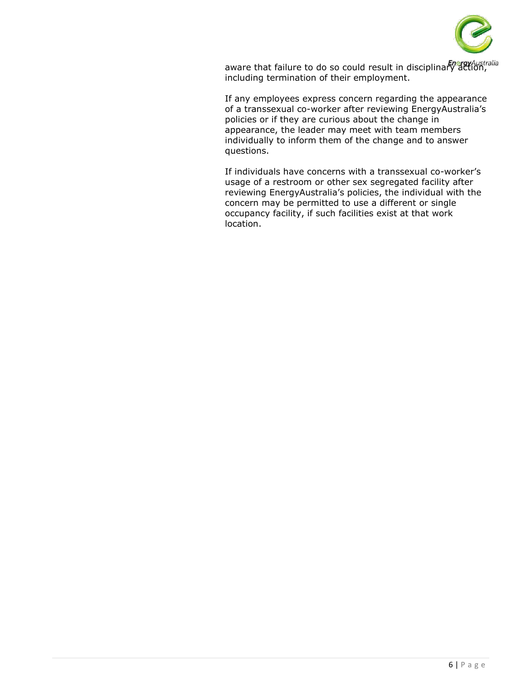

aware that failure to do so could result in disciplinary action, including termination of their employment.

If any employees express concern regarding the appearance of a transsexual co-worker after reviewing EnergyAustralia's policies or if they are curious about the change in appearance, the leader may meet with team members individually to inform them of the change and to answer questions.

If individuals have concerns with a transsexual co-worker's usage of a restroom or other sex segregated facility after reviewing EnergyAustralia's policies, the individual with the concern may be permitted to use a different or single occupancy facility, if such facilities exist at that work location.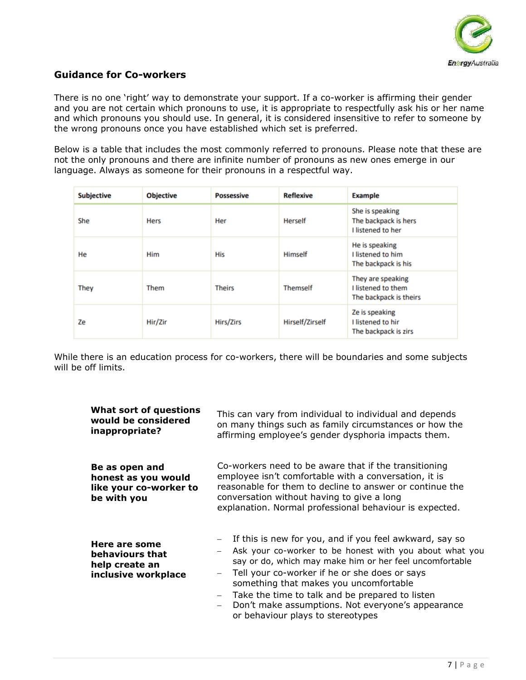

### **Guidance for Co-workers**

There is no one 'right' way to demonstrate your support. If a co-worker is affirming their gender and you are not certain which pronouns to use, it is appropriate to respectfully ask his or her name and which pronouns you should use. In general, it is considered insensitive to refer to someone by the wrong pronouns once you have established which set is preferred.

Below is a table that includes the most commonly referred to pronouns. Please note that these are not the only pronouns and there are infinite number of pronouns as new ones emerge in our language. Always as someone for their pronouns in a respectful way.

| <b>Subjective</b> | <b>Objective</b> | <b>Possessive</b> | <b>Reflexive</b>       | <b>Example</b>                                                      |
|-------------------|------------------|-------------------|------------------------|---------------------------------------------------------------------|
| She               | Hers             | Her               | <b>Herself</b>         | She is speaking<br>The backpack is hers<br><b>I listened to her</b> |
| He                | Him              | <b>His</b>        | Himself                | He is speaking<br>I listened to him<br>The backpack is his          |
| They              | Them             | <b>Theirs</b>     | <b>Themself</b>        | They are speaking<br>I listened to them<br>The backpack is theirs   |
| Ze                | Hir/Zir          | <b>Hirs/Zirs</b>  | <b>Hirself/Zirself</b> | Ze is speaking<br>I listened to hir<br>The backpack is zirs         |

While there is an education process for co-workers, there will be boundaries and some subjects will be off limits.

| What sort of questions<br>would be considered<br>inappropriate?                | This can vary from individual to individual and depends<br>on many things such as family circumstances or how the<br>affirming employee's gender dysphoria impacts them.                                                                                                                                                                                                                                                                          |  |
|--------------------------------------------------------------------------------|---------------------------------------------------------------------------------------------------------------------------------------------------------------------------------------------------------------------------------------------------------------------------------------------------------------------------------------------------------------------------------------------------------------------------------------------------|--|
| Be as open and<br>honest as you would<br>like your co-worker to<br>be with you | Co-workers need to be aware that if the transitioning<br>employee isn't comfortable with a conversation, it is<br>reasonable for them to decline to answer or continue the<br>conversation without having to give a long<br>explanation. Normal professional behaviour is expected.                                                                                                                                                               |  |
| Here are some<br>behaviours that<br>help create an<br>inclusive workplace      | If this is new for you, and if you feel awkward, say so<br>Ask your co-worker to be honest with you about what you<br>say or do, which may make him or her feel uncomfortable<br>Tell your co-worker if he or she does or says<br>$\overline{\phantom{m}}$<br>something that makes you uncomfortable<br>Take the time to talk and be prepared to listen<br>Don't make assumptions. Not everyone's appearance<br>or behaviour plays to stereotypes |  |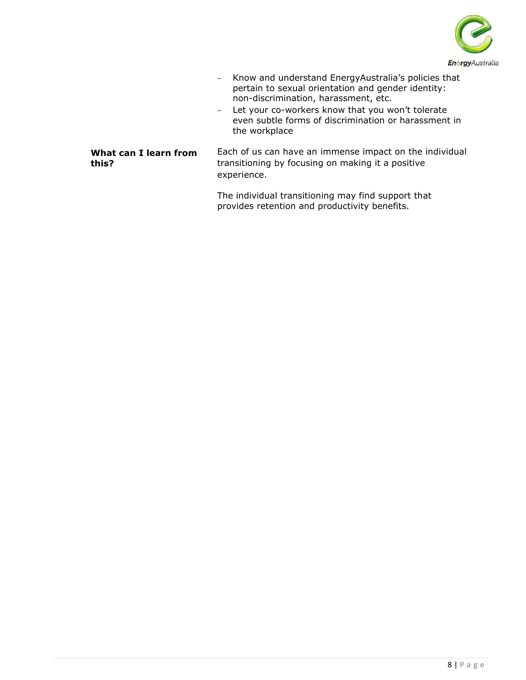

- − Know and understand EnergyAustralia's policies that pertain to sexual orientation and gender identity: non-discrimination, harassment, etc.
- − Let your co-workers know that you won't tolerate even subtle forms of discrimination or harassment in the workplace

#### **What can I learn from this?**

Each of us can have an immense impact on the individual transitioning by focusing on making it a positive experience.

The individual transitioning may find support that provides retention and productivity benefits.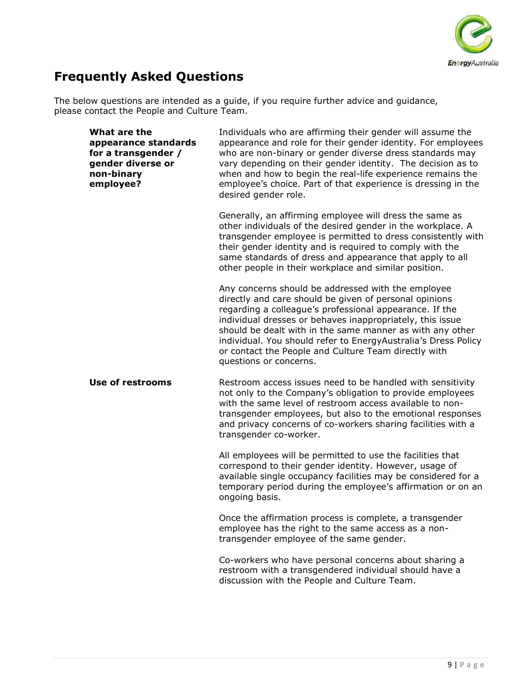

# **Frequently Asked Questions**

The below questions are intended as a guide, if you require further advice and guidance, please contact the People and Culture Team.

| What are the<br>appearance standards<br>for a transgender /<br>gender diverse or<br>non-binary<br>employee? | Individuals who are affirming their gender will assume the<br>appearance and role for their gender identity. For employees<br>who are non-binary or gender diverse dress standards may<br>vary depending on their gender identity. The decision as to<br>when and how to begin the real-life experience remains the<br>employee's choice. Part of that experience is dressing in the<br>desired gender role.                                          |  |
|-------------------------------------------------------------------------------------------------------------|-------------------------------------------------------------------------------------------------------------------------------------------------------------------------------------------------------------------------------------------------------------------------------------------------------------------------------------------------------------------------------------------------------------------------------------------------------|--|
|                                                                                                             | Generally, an affirming employee will dress the same as<br>other individuals of the desired gender in the workplace. A<br>transgender employee is permitted to dress consistently with<br>their gender identity and is required to comply with the<br>same standards of dress and appearance that apply to all<br>other people in their workplace and similar position.                                                                               |  |
|                                                                                                             | Any concerns should be addressed with the employee<br>directly and care should be given of personal opinions<br>regarding a colleague's professional appearance. If the<br>individual dresses or behaves inappropriately, this issue<br>should be dealt with in the same manner as with any other<br>individual. You should refer to EnergyAustralia's Dress Policy<br>or contact the People and Culture Team directly with<br>questions or concerns. |  |
| <b>Use of restrooms</b>                                                                                     | Restroom access issues need to be handled with sensitivity<br>not only to the Company's obligation to provide employees<br>with the same level of restroom access available to non-<br>transgender employees, but also to the emotional responses<br>and privacy concerns of co-workers sharing facilities with a<br>transgender co-worker.                                                                                                           |  |
|                                                                                                             | All employees will be permitted to use the facilities that<br>correspond to their gender identity. However, usage of<br>available single occupancy facilities may be considered for a<br>temporary period during the employee's affirmation or on an<br>ongoing basis.                                                                                                                                                                                |  |
|                                                                                                             | Once the affirmation process is complete, a transgender<br>employee has the right to the same access as a non-<br>transgender employee of the same gender.                                                                                                                                                                                                                                                                                            |  |
|                                                                                                             | Co-workers who have personal concerns about sharing a<br>restroom with a transgendered individual should have a<br>discussion with the People and Culture Team.                                                                                                                                                                                                                                                                                       |  |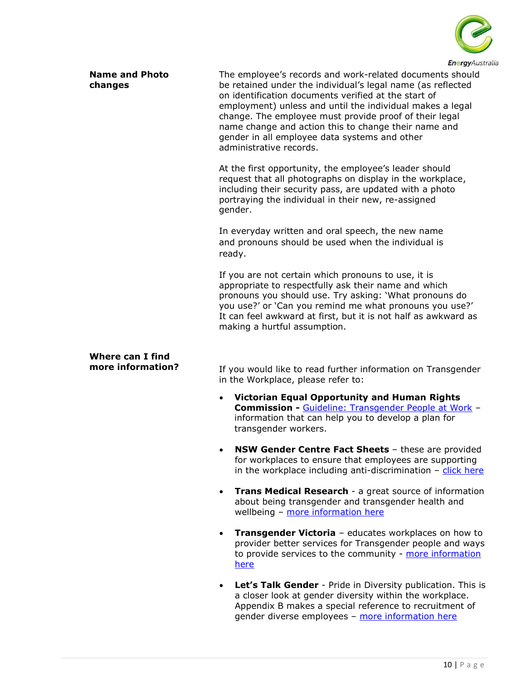

| <b>Name and Photo</b><br>changes             | The employee's records and work-related documents should<br>be retained under the individual's legal name (as reflected<br>on identification documents verified at the start of<br>employment) unless and until the individual makes a legal<br>change. The employee must provide proof of their legal<br>name change and action this to change their name and<br>gender in all employee data systems and other<br>administrative records. |
|----------------------------------------------|--------------------------------------------------------------------------------------------------------------------------------------------------------------------------------------------------------------------------------------------------------------------------------------------------------------------------------------------------------------------------------------------------------------------------------------------|
|                                              | At the first opportunity, the employee's leader should<br>request that all photographs on display in the workplace,<br>including their security pass, are updated with a photo<br>portraying the individual in their new, re-assigned<br>gender.                                                                                                                                                                                           |
|                                              | In everyday written and oral speech, the new name<br>and pronouns should be used when the individual is<br>ready.                                                                                                                                                                                                                                                                                                                          |
|                                              | If you are not certain which pronouns to use, it is<br>appropriate to respectfully ask their name and which<br>pronouns you should use. Try asking: 'What pronouns do<br>you use?' or 'Can you remind me what pronouns you use?'<br>It can feel awkward at first, but it is not half as awkward as<br>making a hurtful assumption.                                                                                                         |
| <b>Where can I find</b><br>more information? | If you would like to read further information on Transgender                                                                                                                                                                                                                                                                                                                                                                               |

If you would like to read further information on Transgender in the Workplace, please refer to:

- **Victorian Equal Opportunity and Human Rights Commission -** [Guideline: Transgender People at Work](https://www.humanrightscommission.vic.gov.au/home/our-resources-and-publications/eoa-practice-guidelines/item/632-guideline-transgender-people-at-work-complying-with-the-equal-opportunity-act-2010) – information that can help you to develop a plan for transgender workers.
- **NSW Gender Centre Fact Sheets** these are provided for workplaces to ensure that employees are supporting in the workplace including anti-discrimination  $-$  [click here](https://gendercentre.org.au/resources/kits-fact-sheets/employers)
- **Trans Medical Research**  a great source of information about being transgender and transgender health and wellbeing - [more information here](http://tc.org.au/)
- **Transgender Victoria** educates workplaces on how to provider better services for Transgender people and ways to provide services to the community - more information [here](http://www.transgendervictoria.com/what-we-do/resources/category/general-resources)
- **Let's Talk Gender** Pride in Diversity publication. This is a closer look at gender diversity within the workplace. Appendix B makes a special reference to recruitment of gender diverse employees - [more information here](http://www.prideinclusionprograms.com.au/publication/lets-talk-gender)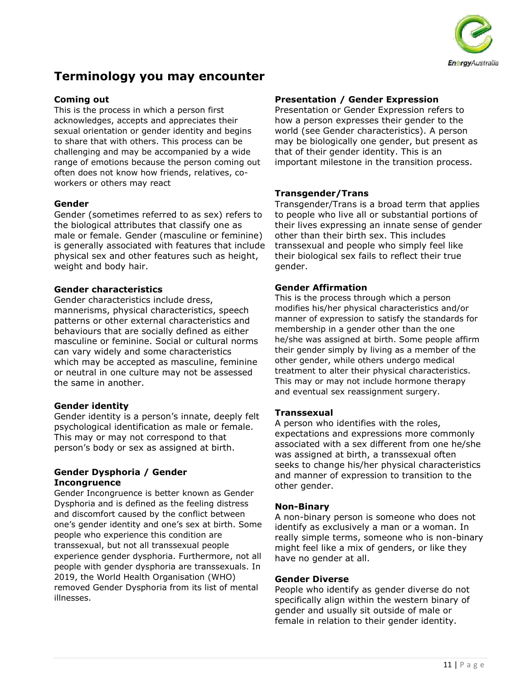

## **Terminology you may encounter**

#### **Coming out**

This is the process in which a person first acknowledges, accepts and appreciates their sexual orientation or gender identity and begins to share that with others. This process can be challenging and may be accompanied by a wide range of emotions because the person coming out often does not know how friends, relatives, coworkers or others may react

#### **Gender**

Gender (sometimes referred to as sex) refers to the biological attributes that classify one as male or female. Gender (masculine or feminine) is generally associated with features that include physical sex and other features such as height, weight and body hair.

#### **Gender characteristics**

Gender characteristics include dress, mannerisms, physical characteristics, speech patterns or other external characteristics and behaviours that are socially defined as either masculine or feminine. Social or cultural norms can vary widely and some characteristics which may be accepted as masculine, feminine or neutral in one culture may not be assessed the same in another.

#### **Gender identity**

Gender identity is a person's innate, deeply felt psychological identification as male or female. This may or may not correspond to that person's body or sex as assigned at birth.

#### **Gender Dysphoria / Gender Incongruence**

Gender Incongruence is better known as Gender Dysphoria and is defined as the feeling distress and discomfort caused by the conflict between one's gender identity and one's sex at birth. Some people who experience this condition are transsexual, but not all transsexual people experience gender dysphoria. Furthermore, not all people with gender dysphoria are transsexuals. In 2019, the World Health Organisation (WHO) removed Gender Dysphoria from its list of mental illnesses.

#### **Presentation / Gender Expression**

Presentation or Gender Expression refers to how a person expresses their gender to the world (see Gender characteristics). A person may be biologically one gender, but present as that of their gender identity. This is an important milestone in the transition process.

#### **Transgender/Trans**

Transgender/Trans is a broad term that applies to people who live all or substantial portions of their lives expressing an innate sense of gender other than their birth sex. This includes transsexual and people who simply feel like their biological sex fails to reflect their true gender.

#### **Gender Affirmation**

This is the process through which a person modifies his/her physical characteristics and/or manner of expression to satisfy the standards for membership in a gender other than the one he/she was assigned at birth. Some people affirm their gender simply by living as a member of the other gender, while others undergo medical treatment to alter their physical characteristics. This may or may not include hormone therapy and eventual sex reassignment surgery.

#### **Transsexual**

A person who identifies with the roles, expectations and expressions more commonly associated with a sex different from one he/she was assigned at birth, a transsexual often seeks to change his/her physical characteristics and manner of expression to transition to the other gender.

#### **Non-Binary**

A non-binary person is someone who does not identify as exclusively a man or a woman. In really simple terms, someone who is non-binary might feel like a mix of genders, or like they have no gender at all.

#### **Gender Diverse**

People who identify as gender diverse do not specifically align within the western binary of gender and usually sit outside of male or female in relation to their gender identity.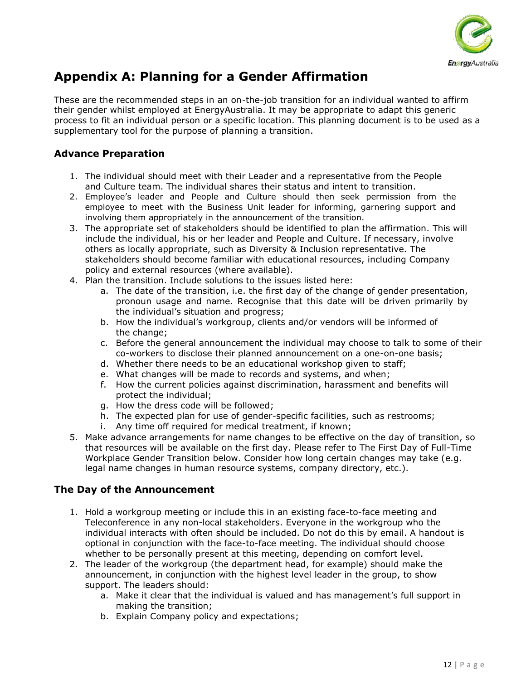

# **Appendix A: Planning for a Gender Affirmation**

These are the recommended steps in an on-the-job transition for an individual wanted to affirm their gender whilst employed at EnergyAustralia. It may be appropriate to adapt this generic process to fit an individual person or a specific location. This planning document is to be used as a supplementary tool for the purpose of planning a transition.

### **Advance Preparation**

- 1. The individual should meet with their Leader and a representative from the People and Culture team. The individual shares their status and intent to transition.
- 2. Employee's leader and People and Culture should then seek permission from the employee to meet with the Business Unit leader for informing, garnering support and involving them appropriately in the announcement of the transition.
- 3. The appropriate set of stakeholders should be identified to plan the affirmation. This will include the individual, his or her leader and People and Culture. If necessary, involve others as locally appropriate, such as Diversity & Inclusion representative. The stakeholders should become familiar with educational resources, including Company policy and external resources (where available).
- 4. Plan the transition. Include solutions to the issues listed here:
	- a. The date of the transition, i.e. the first day of the change of gender presentation, pronoun usage and name. Recognise that this date will be driven primarily by the individual's situation and progress;
	- b. How the individual's workgroup, clients and/or vendors will be informed of the change;
	- c. Before the general announcement the individual may choose to talk to some of their co-workers to disclose their planned announcement on a one-on-one basis;
	- d. Whether there needs to be an educational workshop given to staff;
	- e. What changes will be made to records and systems, and when;
	- f. How the current policies against discrimination, harassment and benefits will protect the individual;
	- g. How the dress code will be followed;
	- h. The expected plan for use of gender-specific facilities, such as restrooms;
	- i. Any time off required for medical treatment, if known;
- 5. Make advance arrangements for name changes to be effective on the day of transition, so that resources will be available on the first day. Please refer to The First Day of Full-Time Workplace Gender Transition below. Consider how long certain changes may take (e.g. legal name changes in human resource systems, company directory, etc.).

### **The Day of the Announcement**

- 1. Hold a workgroup meeting or include this in an existing face-to-face meeting and Teleconference in any non-local stakeholders. Everyone in the workgroup who the individual interacts with often should be included. Do not do this by email. A handout is optional in conjunction with the face-to-face meeting. The individual should choose whether to be personally present at this meeting, depending on comfort level.
- 2. The leader of the workgroup (the department head, for example) should make the announcement, in conjunction with the highest level leader in the group, to show support. The leaders should:
	- a. Make it clear that the individual is valued and has management's full support in making the transition;
	- b. Explain Company policy and expectations;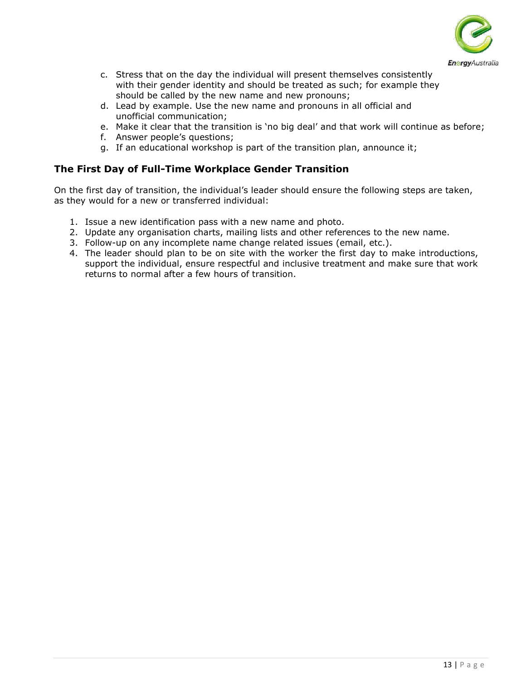

- c. Stress that on the day the individual will present themselves consistently with their gender identity and should be treated as such; for example they should be called by the new name and new pronouns;
- d. Lead by example. Use the new name and pronouns in all official and unofficial communication;
- e. Make it clear that the transition is 'no big deal' and that work will continue as before;
- f. Answer people's questions;
- g. If an educational workshop is part of the transition plan, announce it;

### **The First Day of Full-Time Workplace Gender Transition**

On the first day of transition, the individual's leader should ensure the following steps are taken, as they would for a new or transferred individual:

- 1. Issue a new identification pass with a new name and photo.
- 2. Update any organisation charts, mailing lists and other references to the new name.
- 3. Follow-up on any incomplete name change related issues (email, etc.).
- 4. The leader should plan to be on site with the worker the first day to make introductions, support the individual, ensure respectful and inclusive treatment and make sure that work returns to normal after a few hours of transition.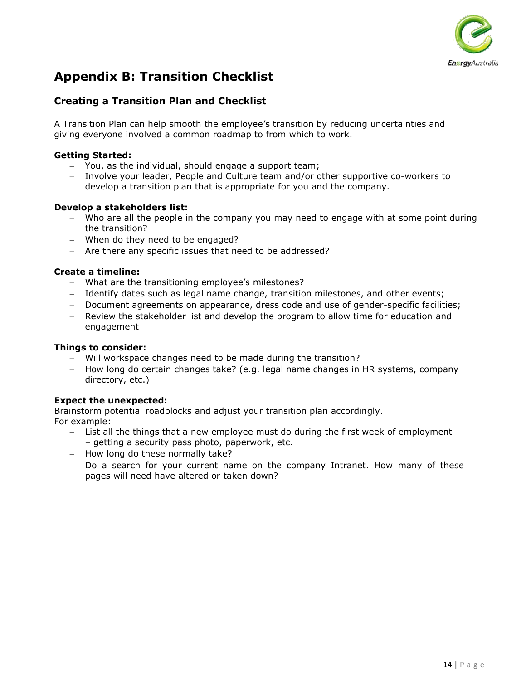

# **Appendix B: Transition Checklist**

### **Creating a Transition Plan and Checklist**

A Transition Plan can help smooth the employee's transition by reducing uncertainties and giving everyone involved a common roadmap to from which to work.

#### **Getting Started:**

- − You, as the individual, should engage a support team;
- − Involve your leader, People and Culture team and/or other supportive co-workers to develop a transition plan that is appropriate for you and the company.

#### **Develop a stakeholders list:**

- − Who are all the people in the company you may need to engage with at some point during the transition?
- − When do they need to be engaged?
- − Are there any specific issues that need to be addressed?

#### **Create a timeline:**

- − What are the transitioning employee's milestones?
- − Identify dates such as legal name change, transition milestones, and other events;
- − Document agreements on appearance, dress code and use of gender-specific facilities;
- − Review the stakeholder list and develop the program to allow time for education and engagement

#### **Things to consider:**

- − Will workspace changes need to be made during the transition?
- − How long do certain changes take? (e.g. legal name changes in HR systems, company directory, etc.)

#### **Expect the unexpected:**

Brainstorm potential roadblocks and adjust your transition plan accordingly. For example:

- − List all the things that a new employee must do during the first week of employment – getting a security pass photo, paperwork, etc.
- − How long do these normally take?
- − Do a search for your current name on the company Intranet. How many of these pages will need have altered or taken down?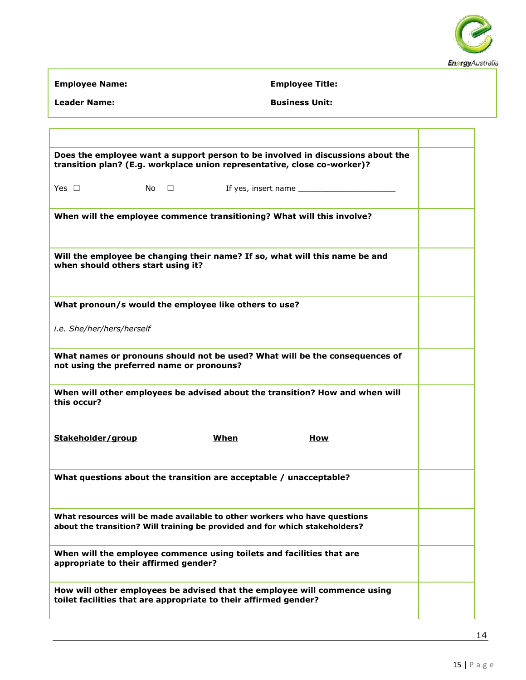

٦

Τ

**Employee Name: Employee Title:**

| <b>Leader Name:</b> | <b>Business Unit:</b> |
|---------------------|-----------------------|
|                     |                       |

| Does the employee want a support person to be involved in discussions about the<br>transition plan? (E.g. workplace union representative, close co-worker)? |  |  |
|-------------------------------------------------------------------------------------------------------------------------------------------------------------|--|--|
| Yes $\Box$                                                                                                                                                  |  |  |
| When will the employee commence transitioning? What will this involve?                                                                                      |  |  |
| Will the employee be changing their name? If so, what will this name be and<br>when should others start using it?                                           |  |  |
| What pronoun/s would the employee like others to use?                                                                                                       |  |  |
| i.e. She/her/hers/herself                                                                                                                                   |  |  |
| What names or pronouns should not be used? What will be the consequences of<br>not using the preferred name or pronouns?                                    |  |  |
| When will other employees be advised about the transition? How and when will<br>this occur?                                                                 |  |  |
| Stakeholder/group<br><u>When</u><br>How                                                                                                                     |  |  |
| What questions about the transition are acceptable / unacceptable?                                                                                          |  |  |
| What resources will be made available to other workers who have questions<br>about the transition? Will training be provided and for which stakeholders?    |  |  |
| When will the employee commence using toilets and facilities that are<br>appropriate to their affirmed gender?                                              |  |  |
| How will other employees be advised that the employee will commence using<br>toilet facilities that are appropriate to their affirmed gender?               |  |  |